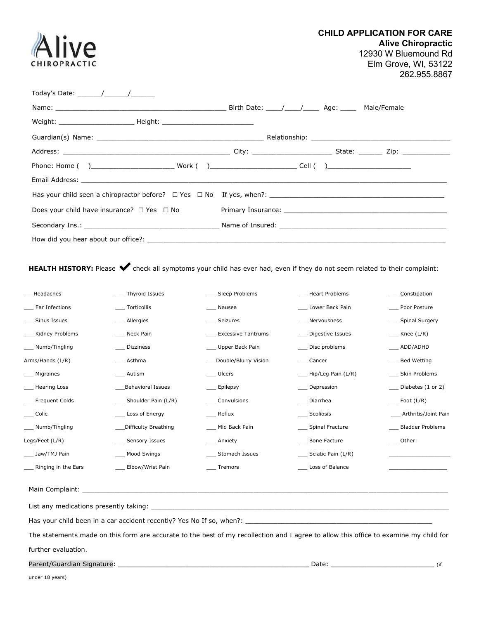CHILD APPLICATION FOR CARE

Alive Chiropractic 12930 W Bluemound Rd Elm Grove, WI, 53122 262.955.8867

| CHIROPRACTIC                                                                                                                                                                                                                                                                                                                                                                                                       | <b>Elm Grov</b><br>2                                     |
|--------------------------------------------------------------------------------------------------------------------------------------------------------------------------------------------------------------------------------------------------------------------------------------------------------------------------------------------------------------------------------------------------------------------|----------------------------------------------------------|
| Today's Date: $\frac{1}{\sqrt{1-\frac{1}{2}}}\frac{1}{\sqrt{1-\frac{1}{2}}}\frac{1}{\sqrt{1-\frac{1}{2}}}\frac{1}{\sqrt{1-\frac{1}{2}}}\frac{1}{\sqrt{1-\frac{1}{2}}}\frac{1}{\sqrt{1-\frac{1}{2}}}\frac{1}{\sqrt{1-\frac{1}{2}}}\frac{1}{\sqrt{1-\frac{1}{2}}}\frac{1}{\sqrt{1-\frac{1}{2}}}\frac{1}{\sqrt{1-\frac{1}{2}}}\frac{1}{\sqrt{1-\frac{1}{2}}}\frac{1}{\sqrt{1-\frac{1}{2}}}\frac{1}{\sqrt{1-\frac{1}{$ |                                                          |
|                                                                                                                                                                                                                                                                                                                                                                                                                    | Birth Date: \______/ _________ Age: ________ Male/Female |
|                                                                                                                                                                                                                                                                                                                                                                                                                    |                                                          |
| Guardian(s) Name:                                                                                                                                                                                                                                                                                                                                                                                                  | Relationship:                                            |

| Does your child have insurance? $\Box$ Yes $\Box$ No |  |  |  |
|------------------------------------------------------|--|--|--|
|                                                      |  |  |  |
|                                                      |  |  |  |

HEALTH HISTORY: Please  $\blacklozenge$  check all symptoms your child has ever had, even if they do not seem related to their complaint:

| Headaches                                                                                                                             | Thyroid Issues          | Sleep Problems            | <b>Heart Problems</b>  | __ Constipation                 |
|---------------------------------------------------------------------------------------------------------------------------------------|-------------------------|---------------------------|------------------------|---------------------------------|
| Ear Infections                                                                                                                        | ___ Torticollis         | ___ Nausea                | Lower Back Pain        | Poor Posture                    |
| Sinus Issues                                                                                                                          | _ Allergies             | __ Seizures               | Nervousness            | __ Spinal Surgery               |
| Kidney Problems                                                                                                                       | Neck Pain               | <b>Excessive Tantrums</b> | Digestive Issues       | $\angle$ Knee (L/R)             |
| Numb/Tingling                                                                                                                         | Dizziness               | Upper Back Pain           | Disc problems          | ___ ADD/ADHD                    |
| Arms/Hands (L/R)                                                                                                                      | Asthma                  | Double/Blurry Vision      | ___ Cancer             | __ Bed Wetting                  |
| _ Migraines                                                                                                                           | ____ Autism             | ___ Ulcers                | ___ Hip/Leg Pain (L/R) | __ Skin Problems                |
| <b>Hearing Loss</b>                                                                                                                   | Behavioral Issues       | __ Epilepsy               | Depression             | $\Box$ Diabetes (1 or 2)        |
| Frequent Colds                                                                                                                        | ___ Shoulder Pain (L/R) | Convulsions               | Diarrhea               | $\rule{1em}{0.15mm}$ Foot (L/R) |
| Colic                                                                                                                                 | Loss of Energy          | Reflux                    | Scoliosis              | ____ Arthritis/Joint Pain       |
| Numb/Tingling                                                                                                                         | Difficulty Breathing    | ___ Mid Back Pain         | __ Spinal Fracture     | <b>Bladder Problems</b>         |
| Legs/Feet (L/R)                                                                                                                       | ___ Sensory Issues      | ___ Anxiety               | Bone Facture           | ___ Other:                      |
| Jaw/TMJ Pain                                                                                                                          | Mood Swings             | Stomach Issues            | ___ Sciatic Pain (L/R) |                                 |
| Ringing in the Ears                                                                                                                   | Elbow/Wrist Pain        | Tremors                   | Loss of Balance        |                                 |
|                                                                                                                                       |                         |                           |                        |                                 |
|                                                                                                                                       |                         |                           |                        |                                 |
|                                                                                                                                       |                         |                           |                        |                                 |
| The statements made on this form are accurate to the best of my recollection and I agree to allow this office to examine my child for |                         |                           |                        |                                 |
| further evaluation.                                                                                                                   |                         |                           |                        |                                 |
| Parent/Guardian Signature:                                                                                                            |                         |                           | Date:                  | (if                             |

**Alive**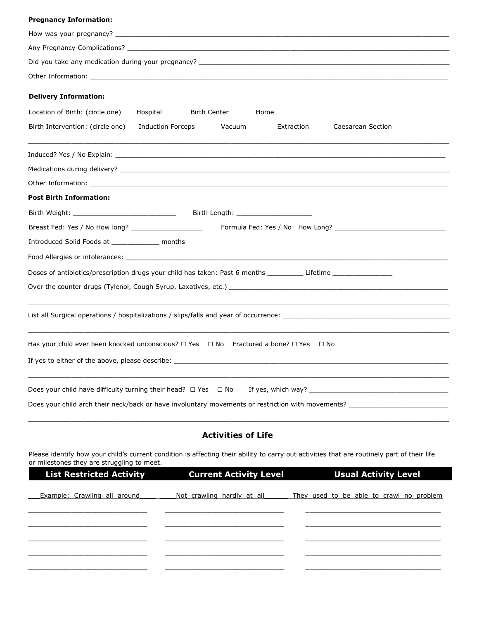#### Pregnancy Information:

| Did you take any medication during your pregnancy?                                                                                                                                                                             |  |  |  |  |
|--------------------------------------------------------------------------------------------------------------------------------------------------------------------------------------------------------------------------------|--|--|--|--|
| Other Information: The contract of the contract of the contract of the contract of the contract of the contract of the contract of the contract of the contract of the contract of the contract of the contract of the contrac |  |  |  |  |
| <b>Delivery Information:</b>                                                                                                                                                                                                   |  |  |  |  |
| Location of Birth: (circle one)<br>Hospital<br>Birth Center<br>Home                                                                                                                                                            |  |  |  |  |
| Birth Intervention: (circle one)<br><b>Induction Forceps</b><br>Vacuum<br>Extraction<br>Caesarean Section                                                                                                                      |  |  |  |  |
|                                                                                                                                                                                                                                |  |  |  |  |
|                                                                                                                                                                                                                                |  |  |  |  |
| Other Information: with a state of the contract of the contract of the contract of the contract of the contract of the contract of the contract of the contract of the contract of the contract of the contract of the contrac |  |  |  |  |
| <b>Post Birth Information:</b>                                                                                                                                                                                                 |  |  |  |  |
|                                                                                                                                                                                                                                |  |  |  |  |
|                                                                                                                                                                                                                                |  |  |  |  |
| Introduced Solid Foods at _______________ months                                                                                                                                                                               |  |  |  |  |
|                                                                                                                                                                                                                                |  |  |  |  |
| Doses of antibiotics/prescription drugs your child has taken: Past 6 months ___________Lifetime ______________                                                                                                                 |  |  |  |  |
|                                                                                                                                                                                                                                |  |  |  |  |
|                                                                                                                                                                                                                                |  |  |  |  |
| Has your child ever been knocked unconscious? □ Yes □ No Fractured a bone? □ Yes □ No                                                                                                                                          |  |  |  |  |
|                                                                                                                                                                                                                                |  |  |  |  |
| Does your child have difficulty turning their head? $\Box$ Yes $\Box$ No                                                                                                                                                       |  |  |  |  |
|                                                                                                                                                                                                                                |  |  |  |  |

# Activities of Life

\_\_\_\_\_\_\_\_\_\_\_\_\_\_\_\_\_\_\_\_\_\_\_\_\_\_\_\_\_\_\_\_\_\_\_\_\_\_\_\_\_\_\_\_\_\_\_\_\_\_\_\_\_\_\_\_\_\_\_\_\_\_\_\_\_\_\_\_\_\_\_\_\_\_\_\_\_\_\_\_\_\_\_\_\_\_\_\_\_\_\_\_\_\_\_\_\_\_\_\_\_\_\_\_\_\_

Please identify how your child's current condition is affecting their ability to carry out activities that are routinely part of their life or milestones they are struggling to meet.

| <b>List Restricted Activity</b> | <b>Current Activity Level</b> | <b>Usual Activity Level</b>              |
|---------------------------------|-------------------------------|------------------------------------------|
|                                 |                               |                                          |
| Example: Crawling all around    | Not crawling hardly at all    | They used to be able to crawl no problem |
|                                 |                               |                                          |
|                                 |                               |                                          |
|                                 |                               |                                          |
|                                 |                               |                                          |
|                                 |                               |                                          |
|                                 |                               |                                          |
|                                 |                               |                                          |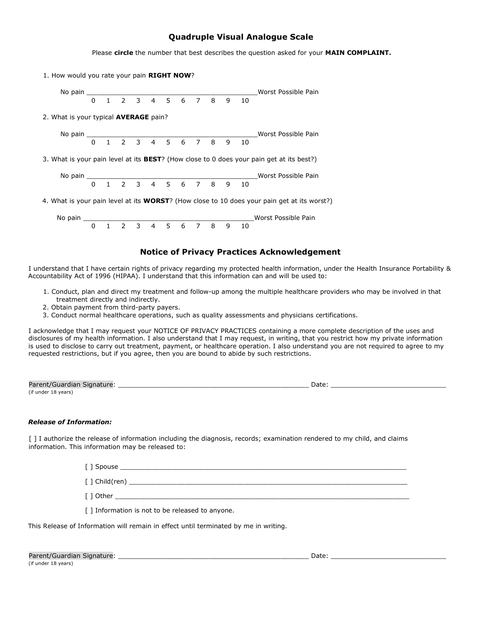## Quadruple Visual Analogue Scale

|                                                                                                     |  |  |  |  |  |  |  | Please circle the number that best describes the question asked for your <b>MAIN COMPLAINT.</b>  |
|-----------------------------------------------------------------------------------------------------|--|--|--|--|--|--|--|--------------------------------------------------------------------------------------------------|
| 1. How would you rate your pain RIGHT NOW?                                                          |  |  |  |  |  |  |  |                                                                                                  |
|                                                                                                     |  |  |  |  |  |  |  |                                                                                                  |
|                                                                                                     |  |  |  |  |  |  |  |                                                                                                  |
| 2. What is your typical <b>AVERAGE</b> pain?                                                        |  |  |  |  |  |  |  |                                                                                                  |
|                                                                                                     |  |  |  |  |  |  |  |                                                                                                  |
|                                                                                                     |  |  |  |  |  |  |  |                                                                                                  |
|                                                                                                     |  |  |  |  |  |  |  | 3. What is your pain level at its <b>BEST</b> ? (How close to 0 does your pain get at its best?) |
|                                                                                                     |  |  |  |  |  |  |  |                                                                                                  |
|                                                                                                     |  |  |  |  |  |  |  |                                                                                                  |
| 4. What is your pain level at its <b>WORST</b> ? (How close to 10 does your pain get at its worst?) |  |  |  |  |  |  |  |                                                                                                  |
|                                                                                                     |  |  |  |  |  |  |  |                                                                                                  |
|                                                                                                     |  |  |  |  |  |  |  |                                                                                                  |
|                                                                                                     |  |  |  |  |  |  |  |                                                                                                  |

#### Notice of Privacy Practices Acknowledgement

I understand that I have certain rights of privacy regarding my protected health information, under the Health Insurance Portability & Accountability Act of 1996 (HIPAA). I understand that this information can and will be used to:

- 1. Conduct, plan and direct my treatment and follow-up among the multiple healthcare providers who may be involved in that treatment directly and indirectly.
- 2. Obtain payment from third-party payers.
- 3. Conduct normal healthcare operations, such as quality assessments and physicians certifications.

I acknowledge that I may request your NOTICE OF PRIVACY PRACTICES containing a more complete description of the uses and disclosures of my health information. I also understand that I may request, in writing, that you restrict how my private information is used to disclose to carry out treatment, payment, or healthcare operation. I also understand you are not required to agree to my requested restrictions, but if you agree, then you are bound to abide by such restrictions.

| Parent/Guardian Signature: | Date |
|----------------------------|------|
| (if under 18 years)        |      |

#### Release of Information:

[ ] I authorize the release of information including the diagnosis, records; examination rendered to my child, and claims information. This information may be released to:

[ ] Spouse \_\_\_\_\_\_\_\_\_\_\_\_\_\_\_\_\_\_\_\_\_\_\_\_\_\_\_\_\_\_\_\_\_\_\_\_\_\_\_\_\_\_\_\_\_\_\_\_\_\_\_\_\_\_\_\_\_\_\_\_\_\_\_\_\_\_\_\_\_\_\_\_

[ ] Child(ren) \_\_\_\_\_\_\_\_\_\_\_\_\_\_\_\_\_\_\_\_\_\_\_\_\_\_\_\_\_\_\_\_\_\_\_\_\_\_\_\_\_\_\_\_\_\_\_\_\_\_\_\_\_\_\_\_\_\_\_\_\_\_\_\_\_\_\_\_\_\_

 $\lceil$   $\rceil$  Other

[ ] Information is not to be released to anyone.

This Release of Information will remain in effect until terminated by me in writing.

| Parent/Guardian Signature: |  |
|----------------------------|--|
| (if under 18 years)        |  |